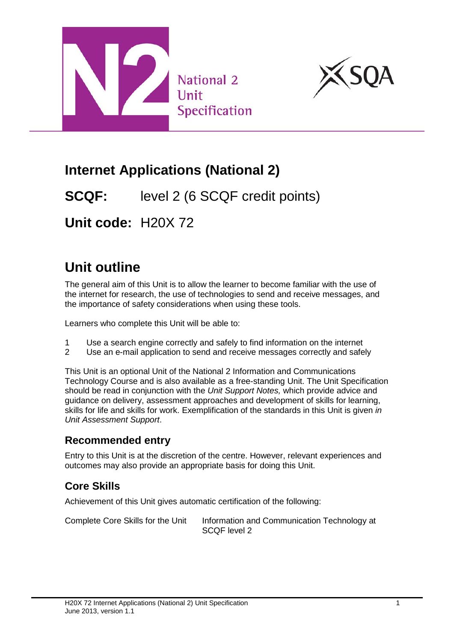



# **Internet Applications (National 2)**

**SCQF:** level 2 (6 SCQF credit points)

**Unit code:** H20X 72

# **Unit outline**

The general aim of this Unit is to allow the learner to become familiar with the use of the internet for research, the use of technologies to send and receive messages, and the importance of safety considerations when using these tools.

Learners who complete this Unit will be able to:

- 1 Use a search engine correctly and safely to find information on the internet<br>2 Use an e-mail application to send and receive messages correctly and safe
- Use an e-mail application to send and receive messages correctly and safely

This Unit is an optional Unit of the National 2 Information and Communications Technology Course and is also available as a free-standing Unit. The Unit Specification should be read in conjunction with the *Unit Support Notes,* which provide advice and guidance on delivery, assessment approaches and development of skills for learning, skills for life and skills for work. Exemplification of the standards in this Unit is given *in Unit Assessment Support*.

#### **Recommended entry**

Entry to this Unit is at the discretion of the centre. However, relevant experiences and outcomes may also provide an appropriate basis for doing this Unit.

#### **Core Skills**

Achievement of this Unit gives automatic certification of the following:

Complete Core Skills for the Unit Information and Communication Technology at SCQF level 2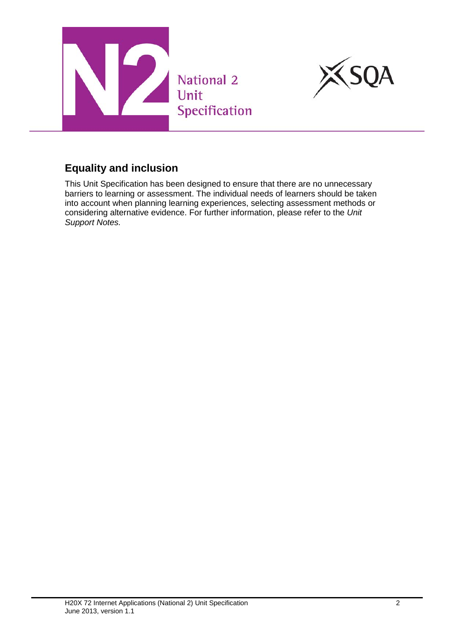



#### **Equality and inclusion**

This Unit Specification has been designed to ensure that there are no unnecessary barriers to learning or assessment. The individual needs of learners should be taken into account when planning learning experiences, selecting assessment methods or considering alternative evidence. For further information, please refer to the *Unit Support Notes.*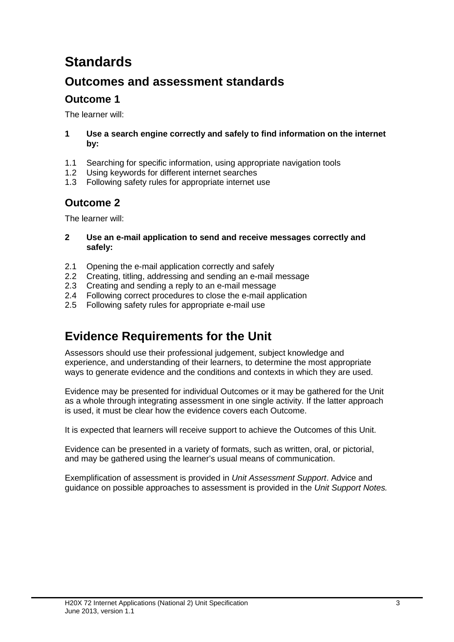# **Standards**

### **Outcomes and assessment standards**

#### **Outcome 1**

The learner will:

- **1 Use a search engine correctly and safely to find information on the internet by:**
- 1.1 Searching for specific information, using appropriate navigation tools
- 1.2 Using keywords for different internet searches
- 1.3 Following safety rules for appropriate internet use

#### **Outcome 2**

The learner will:

- **2 Use an e-mail application to send and receive messages correctly and safely:**
- 2.1 Opening the e-mail application correctly and safely
- 2.2 Creating, titling, addressing and sending an e-mail message
- 2.3 Creating and sending a reply to an e-mail message
- 2.4 Following correct procedures to close the e-mail application
- 2.5 Following safety rules for appropriate e-mail use

### **Evidence Requirements for the Unit**

Assessors should use their professional judgement, subject knowledge and experience, and understanding of their learners, to determine the most appropriate ways to generate evidence and the conditions and contexts in which they are used.

Evidence may be presented for individual Outcomes or it may be gathered for the Unit as a whole through integrating assessment in one single activity. If the latter approach is used, it must be clear how the evidence covers each Outcome.

It is expected that learners will receive support to achieve the Outcomes of this Unit.

Evidence can be presented in a variety of formats, such as written, oral, or pictorial, and may be gathered using the learner's usual means of communication.

Exemplification of assessment is provided in *Unit Assessment Support*. Advice and guidance on possible approaches to assessment is provided in the *Unit Support Notes.*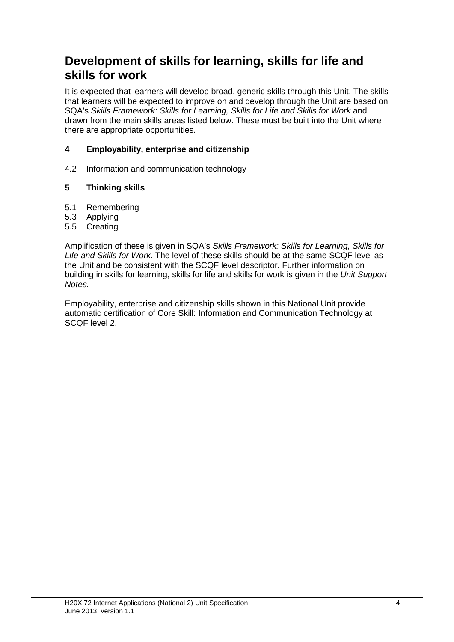### **Development of skills for learning, skills for life and skills for work**

It is expected that learners will develop broad, generic skills through this Unit. The skills that learners will be expected to improve on and develop through the Unit are based on SQA's *Skills Framework: Skills for Learning, Skills for Life and Skills for Work* and drawn from the main skills areas listed below. These must be built into the Unit where there are appropriate opportunities.

#### **4 Employability, enterprise and citizenship**

4.2 Information and communication technology

#### **5 Thinking skills**

- 5.1 Remembering
- 5.3 Applying
- 5.5 Creating

Amplification of these is given in SQA's *Skills Framework: Skills for Learning, Skills for Life and Skills for Work.* The level of these skills should be at the same SCQF level as the Unit and be consistent with the SCQF level descriptor. Further information on building in skills for learning, skills for life and skills for work is given in the *Unit Support Notes.*

Employability, enterprise and citizenship skills shown in this National Unit provide automatic certification of Core Skill: Information and Communication Technology at SCQF level 2.